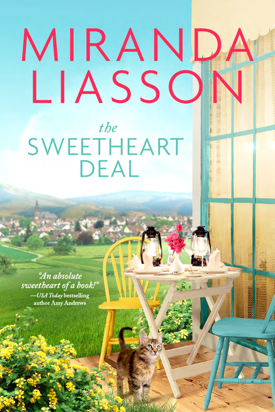## MIRANDA LIASSON the SWEETHEART **DEAL**

"An absolute sweetheart of a book!" -USA Today bestselling author Amy Andrews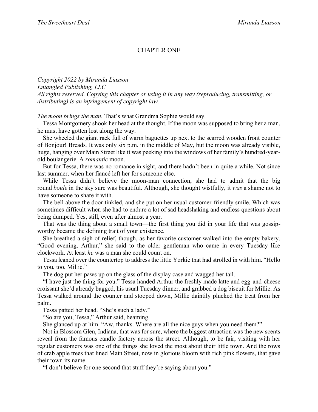## CHAPTER ONE

*Copyright 2022 by Miranda Liasson Entangled Publishing, LLC All rights reserved. Copying this chapter or using it in any way (reproducing, transmitting, or distributing) is an infringement of copyright law.*

*The moon brings the man.* That's what Grandma Sophie would say.

Tessa Montgomery shook her head at the thought. If the moon was supposed to bring her a man, he must have gotten lost along the way.

She wheeled the giant rack full of warm baguettes up next to the scarred wooden front counter of Bonjour! Breads*.* It was only six p.m. in the middle of May, but the moon was already visible, huge, hanging over Main Street like it was peeking into the windows of her family's hundred-yearold boulangerie. A *romantic* moon.

But for Tessa, there was no romance in sight, and there hadn't been in quite a while. Not since last summer, when her fiancé left her for someone else.

While Tessa didn't believe the moon-man connection, she had to admit that the big round *boule* in the sky sure was beautiful. Although, she thought wistfully, it *was* a shame not to have someone to share it with.

The bell above the door tinkled, and she put on her usual customer-friendly smile. Which was sometimes difficult when she had to endure a lot of sad headshaking and endless questions about being dumped. Yes, still, even after almost a year.

That was the thing about a small town—the first thing you did in your life that was gossipworthy became the defining trait of your existence.

She breathed a sigh of relief, though, as her favorite customer walked into the empty bakery. "Good evening, Arthur," she said to the older gentleman who came in every Tuesday like clockwork. At least *he* was a man she could count on.

Tessa leaned over the countertop to address the little Yorkie that had strolled in with him. "Hello to you, too, Millie."

The dog put her paws up on the glass of the display case and wagged her tail.

"I have just the thing for you." Tessa handed Arthur the freshly made latte and egg-and-cheese croissant she'd already bagged, his usual Tuesday dinner, and grabbed a dog biscuit for Millie. As Tessa walked around the counter and stooped down, Millie daintily plucked the treat from her palm.

Tessa patted her head. "She's such a lady."

"So are you, Tessa," Arthur said, beaming.

She glanced up at him. "Aw, thanks. Where are all the nice guys when you need them?"

Not in Blossom Glen, Indiana, that was for sure, where the biggest attraction was the new scents reveal from the famous candle factory across the street. Although, to be fair, visiting with her regular customers was one of the things she loved the most about their little town. And the rows of crab apple trees that lined Main Street, now in glorious bloom with rich pink flowers, that gave their town its name.

"I don't believe for one second that stuff they're saying about you."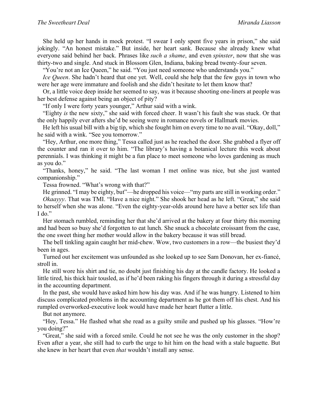She held up her hands in mock protest. "I swear I only spent five years in prison," she said jokingly. "An honest mistake." But inside, her heart sank. Because she already knew what everyone said behind her back. Phrases like *such a shame*, and even *spinster*, now that she was thirty-two and single. And stuck in Blossom Glen, Indiana, baking bread twenty-four seven.

"You're not an Ice Queen," he said. "You just need someone who understands you."

*Ice Queen*. She hadn't heard that one yet. Well, could she help that the few guys in town who were her age were immature and foolish and she didn't hesitate to let them know that?

Or, a little voice deep inside her seemed to say, was it because shooting one-liners at people was her best defense against being an object of pity?

"If only I were forty years younger," Arthur said with a wink.

"Eighty *is* the new sixty," she said with forced cheer. It wasn't his fault she was stuck. Or that the only happily ever afters she'd be seeing were in romance novels or Hallmark movies.

He left his usual bill with a big tip, which she fought him on every time to no avail. "Okay, doll," he said with a wink. "See you tomorrow."

"Hey, Arthur, one more thing," Tessa called just as he reached the door. She grabbed a flyer off the counter and ran it over to him. "The library's having a botanical lecture this week about perennials. I was thinking it might be a fun place to meet someone who loves gardening as much as you do."

"Thanks, honey," he said. "The last woman I met online was nice, but she just wanted companionship."

Tessa frowned. "What's wrong with that?"

He grinned. "I may be eighty, but"—he dropped his voice—"my parts are still in working order."

*Okaayyy*. That was TMI. "Have a nice night." She shook her head as he left. "Great," she said to herself when she was alone. "Even the eighty-year-olds around here have a better sex life than I do."

Her stomach rumbled, reminding her that she'd arrived at the bakery at four thirty this morning and had been so busy she'd forgotten to eat lunch. She snuck a chocolate croissant from the case, the one sweet thing her mother would allow in the bakery because it was still bread.

The bell tinkling again caught her mid-chew. Wow, two customers in a row—the busiest they'd been in ages.

Turned out her excitement was unfounded as she looked up to see Sam Donovan, her ex-fiancé, stroll in.

He still wore his shirt and tie, no doubt just finishing his day at the candle factory. He looked a little tired, his thick hair tousled, as if he'd been raking his fingers through it during a stressful day in the accounting department.

In the past, she would have asked him how his day was. And if he was hungry. Listened to him discuss complicated problems in the accounting department as he got them off his chest. And his rumpled overworked-executive look would have made her heart flutter a little.

But not anymore.

"Hey, Tessa." He flashed what she read as a guilty smile and pushed up his glasses. "How're you doing?"

"Great," she said with a forced smile. Could he not see he was the only customer in the shop? Even after a year, she still had to curb the urge to hit him on the head with a stale baguette. But she knew in her heart that even *that* wouldn't install any sense.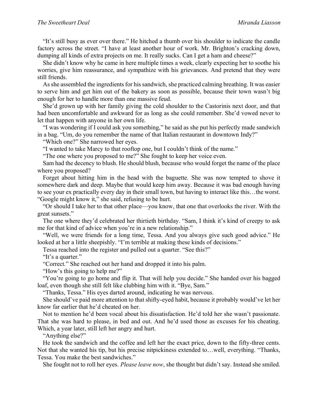"It's still busy as ever over there." He hitched a thumb over his shoulder to indicate the candle factory across the street. "I have at least another hour of work. Mr. Brighton's cracking down, dumping all kinds of extra projects on me. It really sucks. Can I get a ham and cheese?"

She didn't know why he came in here multiple times a week, clearly expecting her to soothe his worries, give him reassurance, and sympathize with his grievances. And pretend that they were still friends.

As she assembled the ingredients for his sandwich, she practiced calming breathing. It was easier to serve him and get him out of the bakery as soon as possible, because their town wasn't big enough for her to handle more than one massive feud.

She'd grown up with her family giving the cold shoulder to the Castorinis next door, and that had been uncomfortable and awkward for as long as she could remember. She'd vowed never to let that happen with anyone in her own life.

"I was wondering if I could ask you something," he said as she put his perfectly made sandwich in a bag. "Um, do you remember the name of that Italian restaurant in downtown Indy?"

"Which one?" She narrowed her eyes.

"I wanted to take Marcy to that rooftop one, but I couldn't think of the name."

"The one where you proposed to me?" She fought to keep her voice even.

Sam had the decency to blush. He should blush, because who would forget the name of the place where you proposed?

Forget about hitting him in the head with the baguette. She was now tempted to shove it somewhere dark and deep. Maybe that would keep him away. Because it was bad enough having to see your ex practically every day in their small town, but having to interact like this…the worst. "Google might know it," she said, refusing to be hurt.

"Or should I take her to that other place—you know, that one that overlooks the river. With the great sunsets."

The one where they'd celebrated her thirtieth birthday. "Sam, I think it's kind of creepy to ask me for that kind of advice when you're in a new relationship."

"Well, we were friends for a long time, Tessa. And you always give such good advice." He looked at her a little sheepishly. "I'm terrible at making these kinds of decisions."

Tessa reached into the register and pulled out a quarter. "See this?"

"It's a quarter."

"Correct." She reached out her hand and dropped it into his palm.

"How's this going to help me?"

"You're going to go home and flip it. That will help you decide." She handed over his bagged loaf, even though she still felt like clubbing him with it. "Bye, Sam."

"Thanks, Tessa." His eyes darted around, indicating he was nervous.

She should've paid more attention to that shifty-eyed habit, because it probably would've let her know far earlier that he'd cheated on her.

Not to mention he'd been vocal about his dissatisfaction. He'd told her she wasn't passionate. That she was hard to please, in bed and out. And he'd used those as excuses for his cheating. Which, a year later, still left her angry and hurt.

"Anything else?"

He took the sandwich and the coffee and left her the exact price, down to the fifty-three cents. Not that she wanted his tip, but his precise nitpickiness extended to…well, everything. "Thanks, Tessa. You make the best sandwiches."

She fought not to roll her eyes. *Please leave now*, she thought but didn't say. Instead she smiled.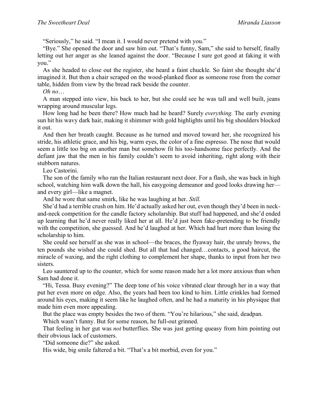"Seriously," he said. "I mean it. I would never pretend with you."

"Bye." She opened the door and saw him out. "That's funny, Sam," she said to herself, finally letting out her anger as she leaned against the door. "Because I sure got good at faking it with you."

As she headed to close out the register, she heard a faint chuckle. So faint she thought she'd imagined it. But then a chair scraped on the wood-planked floor as someone rose from the corner table, hidden from view by the bread rack beside the counter.

## *Oh no*…

A man stepped into view, his back to her, but she could see he was tall and well built, jeans wrapping around muscular legs.

How long had he been there? How much had he heard? Surely *everything.* The early evening sun hit his wavy dark hair, making it shimmer with gold highlights until his big shoulders blocked it out.

And then her breath caught. Because as he turned and moved toward her, she recognized his stride, his athletic grace, and his big, warm eyes, the color of a fine espresso. The nose that would seem a little too big on another man but somehow fit his too-handsome face perfectly. And the defiant jaw that the men in his family couldn't seem to avoid inheriting, right along with their stubborn natures.

Leo Castorini.

The son of the family who ran the Italian restaurant next door. For a flash, she was back in high school, watching him walk down the hall, his easygoing demeanor and good looks drawing her and every girl—like a magnet.

And he wore that same smirk, like he was laughing at her. *Still.*

She'd had a terrible crush on him. He'd actually asked her out, even though they'd been in neckand-neck competition for the candle factory scholarship. But stuff had happened, and she'd ended up learning that he'd never really liked her at all. He'd just been fake-pretending to be friendly with the competition, she guessed. And he'd laughed at her. Which had hurt more than losing the scholarship to him.

She could see herself as she was in school—the braces, the flyaway hair, the unruly brows, the ten pounds she wished she could shed. But all that had changed…contacts, a good haircut, the miracle of waxing, and the right clothing to complement her shape, thanks to input from her two sisters.

Leo sauntered up to the counter, which for some reason made her a lot more anxious than when Sam had done it.

"Hi, Tessa. Busy evening?" The deep tone of his voice vibrated clear through her in a way that put her even more on edge. Also, the years had been too kind to him. Little crinkles had formed around his eyes, making it seem like he laughed often, and he had a maturity in his physique that made him even more appealing.

But the place was empty besides the two of them. "You're hilarious," she said, deadpan.

Which wasn't funny. But for some reason, he full-out grinned.

That feeling in her gut was *not* butterflies. She was just getting queasy from him pointing out their obvious lack of customers.

"Did someone die?" she asked.

His wide, big smile faltered a bit. "That's a bit morbid, even for you."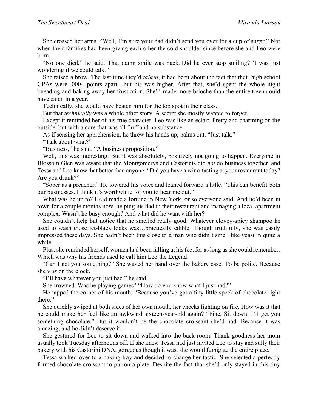She crossed her arms. "Well, I'm sure your dad didn't send you over for a cup of sugar." Not when their families had been giving each other the cold shoulder since before she and Leo were born.

"No one died," he said. That damn smile was back*.* Did he ever stop smiling? "I was just wondering if we could talk."

She raised a brow. The last time they'd *talked*, it had been about the fact that their high school GPAs were .0004 points apart—but his was higher. After that, she'd spent the whole night kneading and baking away her frustration. She'd made more brioche than the entire town could have eaten in a year.

Technically, she would have beaten him for the top spot in their class.

But that *technically* was a whole other story. A secret she mostly wanted to forget.

Except it reminded her of his true character. Leo was like an éclair. Pretty and charming on the outside, but with a core that was all fluff and no substance.

As if sensing her apprehension, he threw his hands up, palms out. "Just talk."

"Talk about what?"

"Business," he said. "A business proposition."

Well, this was interesting. But it was absolutely, positively not going to happen. Everyone in Blossom Glen was aware that the Montgomerys and Castorinis did *not* do business together, and Tessa and Leo knew that better than anyone. "Did you have a wine-tasting at your restaurant today? Are you drunk?"

"Sober as a preacher." He lowered his voice and leaned forward a little. "This can benefit both our businesses. I think it's worthwhile for you to hear me out."

What was he up to? He'd made a fortune in New York, or so everyone said. And he'd been in town for a couple months now, helping his dad in their restaurant and managing a local apartment complex. Wasn't he busy enough? And what did he want with her?

She couldn't help but notice that he smelled really good. Whatever clovey-spicy shampoo he used to wash those jet-black locks was…practically edible. Though truthfully, she was easily impressed these days. She hadn't been this close to a man who didn't smell like yeast in quite a while.

Plus, she reminded herself, women had been falling at his feet for as long as she could remember. Which was why his friends used to call him Leo the Legend.

"Can I get you something?" She waved her hand over the bakery case. To be polite. Because she *was* on the clock.

"I'll have whatever you just had," he said.

She frowned. Was he playing games? "How do you know what I just had?"

He tapped the corner of his mouth. "Because you've got a tiny little speck of chocolate right there."

She quickly swiped at both sides of her own mouth, her cheeks lighting on fire. How was it that he could make her feel like an awkward sixteen-year-old again? "Fine. Sit down. I'll get you something chocolate." But it wouldn't be the chocolate croissant she'd had. Because it was amazing, and he didn't deserve it.

She gestured for Leo to sit down and walked into the back room. Thank goodness her mom usually took Tuesday afternoons off. If she knew Tessa had just invited Leo to stay and sully their bakery with his Castorini DNA, gorgeous though it was, she would fumigate the entire place.

Tessa walked over to a baking tray and decided to change her tactic. She selected a perfectly formed chocolate croissant to put on a plate. Despite the fact that she'd only stayed in this tiny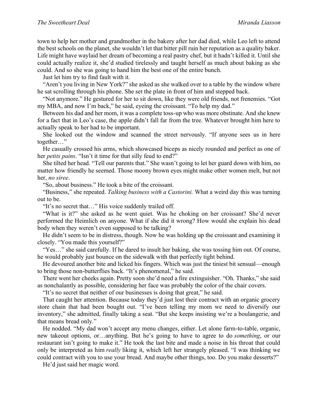town to help her mother and grandmother in the bakery after her dad died, while Leo left to attend the best schools on the planet, she wouldn't let that bitter pill ruin her reputation as a quality baker. Life might have waylaid her dream of becoming a real pastry chef, but it hadn't killed it. Until she could actually realize it, she'd studied tirelessly and taught herself as much about baking as she could. And so she was going to hand him the best one of the entire bunch.

Just let him try to find fault with it.

"Aren't you living in New York?" she asked as she walked over to a table by the window where he sat scrolling through his phone. She set the plate in front of him and stepped back.

"Not anymore." He gestured for her to sit down, like they were old friends, not frenemies. "Got my MBA, and now I'm back," he said, eyeing the croissant. "To help my dad."

Between his dad and her mom, it was a complete toss-up who was more obstinate. And she knew for a fact that in Leo's case, the apple didn't fall far from the tree. Whatever brought him here to actually speak to her had to be important.

She looked out the window and scanned the street nervously. "If anyone sees us in here together…"

He casually crossed his arms, which showcased biceps as nicely rounded and perfect as one of her *petits pains*. "Isn't it time for that silly feud to end?"

She tilted her head. "Tell our parents that." She wasn't going to let her guard down with him, no matter how friendly he seemed. Those moony brown eyes might make other women melt, but not her, *no siree*.

"So, about business." He took a bite of the croissant.

"Business," she repeated. *Talking business with a Castorini.* What a weird day this was turning out to be.

"It's no secret that…" His voice suddenly trailed off.

"What is it?" she asked as he went quiet. Was he choking on her croissant? She'd never performed the Heimlich on anyone. What if she did it wrong? How would she explain his dead body when they weren't even supposed to be talking?

He didn't seem to be in distress, though. Now he was holding up the croissant and examining it closely. "You made this yourself?"

"Yes…" she said carefully. If he dared to insult her baking, she was tossing him out. Of course, he would probably just bounce on the sidewalk with that perfectly tight behind.

He devoured another bite and licked his fingers. Which was just the tiniest bit sensual—enough to bring those non-butterflies back. "It's phenomenal," he said.

There went her cheeks again. Pretty soon she'd need a fire extinguisher. "Oh. Thanks," she said as nonchalantly as possible, considering her face was probably the color of the chair covers.

"It's no secret that neither of our businesses is doing that great," he said.

That caught her attention. Because today they'd just lost their contract with an organic grocery store chain that had been bought out. "I've been telling my mom we need to diversify our inventory," she admitted, finally taking a seat. "But she keeps insisting we're a boulangerie, and that means bread only."

He nodded. "My dad won't accept any menu changes, either. Let alone farm-to-table, organic, new takeout options, or…anything. But he's going to have to agree to do *something*, or our restaurant isn't going to make it." He took the last bite and made a noise in his throat that could only be interpreted as him *really* liking it, which left her strangely pleased. "I was thinking we could contract with you to use your bread. And maybe other things, too. Do you make desserts?"

He'd just said her magic word.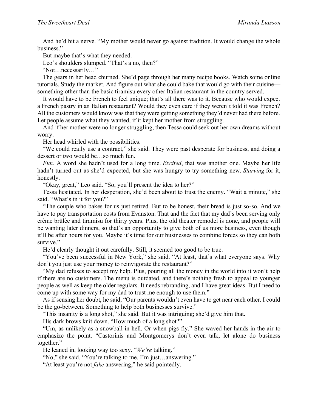And he'd hit a nerve. "My mother would never go against tradition. It would change the whole business."

But maybe that's what they needed.

Leo's shoulders slumped. "That's a no, then?"

"Not…necessarily…"

The gears in her head churned. She'd page through her many recipe books. Watch some online tutorials. Study the market. And figure out what she could bake that would go with their cuisine something other than the basic tiramisu every other Italian restaurant in the country served.

It would have to be French to feel unique; that's all there was to it. Because who would expect a French pastry in an Italian restaurant? Would they even care if they weren't told it was French? All the customers would know was that they were getting something they'd never had there before. Let people assume what they wanted, if it kept her mother from struggling.

And if her mother were no longer struggling, then Tessa could seek out her own dreams without worry.

Her head whirled with the possibilities.

"We could really use a contract," she said. They were past desperate for business, and doing a dessert or two would be…so much fun.

*Fun*. A word she hadn't used for a long time. *Excited*, that was another one. Maybe her life hadn't turned out as she'd expected, but she was hungry to try something new. *Starving* for it, honestly.

"Okay, great," Leo said. "So, you'll present the idea to her?"

Tessa hesitated. In her desperation, she'd been about to trust the enemy. "Wait a minute," she said. "What's in it for you?"

"The couple who bakes for us just retired. But to be honest, their bread is just so-so. And we have to pay transportation costs from Evanston. That and the fact that my dad's been serving only crème brûlèe and tiramisu for thirty years. Plus, the old theater remodel is done, and people will be wanting later dinners, so that's an opportunity to give both of us more business, even though it'll be after hours for you. Maybe it's time for our businesses to combine forces so they can both survive."

He'd clearly thought it out carefully. Still, it seemed too good to be true.

"You've been successful in New York," she said. "At least, that's what everyone says. Why don't you just use your money to reinvigorate the restaurant?"

"My dad refuses to accept my help. Plus, pouring all the money in the world into it won't help if there are no customers. The menu is outdated, and there's nothing fresh to appeal to younger people as well as keep the older regulars. It needs rebranding, and I have great ideas. But I need to come up with some way for my dad to trust me enough to use them."

As if sensing her doubt, he said, "Our parents wouldn't even have to get near each other. I could be the go-between. Something to help both businesses survive."

"This insanity is a long shot," she said. But it was intriguing; she'd give him that.

His dark brows knit down. "How much of a long shot?"

"Um, as unlikely as a snowball in hell. Or when pigs fly." She waved her hands in the air to emphasize the point. "Castorinis and Montgomerys don't even talk, let alone do business together."

He leaned in, looking way too sexy. "*We're* talking."

"No," she said. "You're talking to me. I'm just…answering."

"At least you're not *fake* answering," he said pointedly.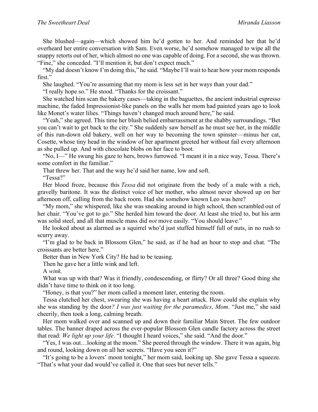She blushed—again—which showed him he'd gotten to her. And reminded her that he'd overheard her entire conversation with Sam. Even worse, he'd somehow managed to wipe all the snappy retorts out of her, which almost no one was capable of doing. For a second, she was thrown. "Fine," she conceded. "I'll mention it, but don't expect much."

"My dad doesn't know I'm doing this," he said. "Maybe I'll wait to hear how your mom responds first."

She laughed. "You're assuming that my mom is less set in her ways than your dad."

"I really hope so." He stood. "Thanks for the croissant."

She watched him scan the bakery cases—taking in the baguettes, the ancient industrial espresso machine, the faded Impressionist-like panels on the walls her mom had painted years ago to look like Monet's water lilies. "Things haven't changed much around here," he said.

"Yeah," she agreed. This time her blush belied embarrassment at the shabby surroundings. "Bet you can't wait to get back to the city." She suddenly saw herself as he must see her, in the middle of this run-down old bakery, well on her way to becoming the town spinster—minus her cat, Cosette, whose tiny head in the window of her apartment greeted her without fail every afternoon as she pulled up. And with chocolate blobs on her face to boot.

"No, I—" He swung his gaze to hers, brows furrowed. "I meant it in a nice way, Tessa. There's some comfort in the familiar."

That threw her. That and the way he'd said her name, low and soft.

"Tessa?"

Her blood froze, because this *Tessa* did not originate from the body of a male with a rich, gravelly baritone. It was the distinct voice of her mother, who almost never showed up on her afternoon off, calling from the back room. Had she somehow known Leo was here?

"My mom," she whispered, like she was sneaking around in high school, then scrambled out of her chair. "You've got to go." She herded him toward the door. At least she tried to, but his arm was solid steel, and all that muscle mass did *not* move easily. "You should leave."

He looked about as alarmed as a squirrel who'd just stuffed himself full of nuts, in no rush to scurry away.

"I'm glad to be back in Blossom Glen," he said, as if he had an hour to stop and chat. "The croissants are better here."

Better than in New York City? He had to be teasing.

Then he gave her a little wink and left.

A *wink.*

What was up with that? Was it friendly, condescending, or flirty? Or all three? Good thing she didn't have time to think on it too long.

"Honey, is that you?" her mom called a moment later, entering the room.

Tessa clutched her chest, swearing she was having a heart attack. How could she explain why she was standing by the door*? I was just waiting for the paramedics, Mom*. "Just me," she said cheerily, then took a long, calming breath.

Her mom walked over and scanned up and down their familiar Main Street. The few outdoor tables. The banner draped across the ever-popular Blossom Glen candle factory across the street that read: *We light up your life*. "I thought I heard voices," she said. "And the door."

"Yes, I was out…looking at the moon." She peered through the window. There it was again, big and round, looking down on all her secrets. "Have you seen it?"

"It's going to be a lovers' moon tonight," her mom said, looking up. She gave Tessa a squeeze. "That's what your dad would've called it. One that sees but never tells."